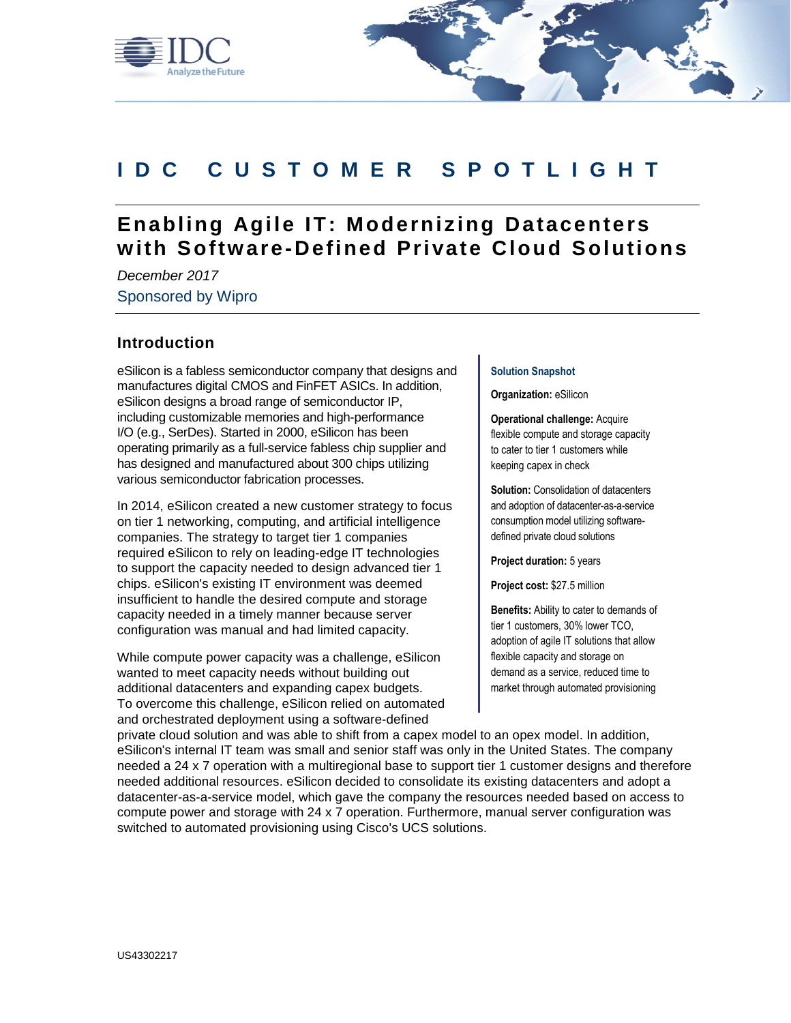

# **IDC C U S T O M E R S P O T L I G H T**

# **Enabling Agile IT: Modernizing Datacenters with Softw are-Defined Private Cloud Solutions**

*December 2017* Sponsored by Wipro

## **Introduction**

eSilicon is a fabless semiconductor company that designs and manufactures digital CMOS and FinFET ASICs. In addition, eSilicon designs a broad range of semiconductor IP, including customizable memories and high-performance I/O (e.g., SerDes). Started in 2000, eSilicon has been operating primarily as a full-service fabless chip supplier and has designed and manufactured about 300 chips utilizing various semiconductor fabrication processes.

In 2014, eSilicon created a new customer strategy to focus on tier 1 networking, computing, and artificial intelligence companies. The strategy to target tier 1 companies required eSilicon to rely on leading-edge IT technologies to support the capacity needed to design advanced tier 1 chips. eSilicon's existing IT environment was deemed insufficient to handle the desired compute and storage capacity needed in a timely manner because server configuration was manual and had limited capacity.

While compute power capacity was a challenge, eSilicon wanted to meet capacity needs without building out additional datacenters and expanding capex budgets. To overcome this challenge, eSilicon relied on automated and orchestrated deployment using a software-defined

#### **Solution Snapshot**

**Organization:** eSilicon

**Operational challenge:** Acquire flexible compute and storage capacity to cater to tier 1 customers while keeping capex in check

**Solution:** Consolidation of datacenters and adoption of datacenter-as-a-service consumption model utilizing softwaredefined private cloud solutions

**Project duration:** 5 years

**Project cost:** \$27.5 million

**Benefits:** Ability to cater to demands of tier 1 customers, 30% lower TCO, adoption of agile IT solutions that allow flexible capacity and storage on demand as a service, reduced time to market through automated provisioning

private cloud solution and was able to shift from a capex model to an opex model. In addition, eSilicon's internal IT team was small and senior staff was only in the United States. The company needed a 24 x 7 operation with a multiregional base to support tier 1 customer designs and therefore needed additional resources. eSilicon decided to consolidate its existing datacenters and adopt a datacenter-as-a-service model, which gave the company the resources needed based on access to compute power and storage with 24 x 7 operation. Furthermore, manual server configuration was switched to automated provisioning using Cisco's UCS solutions.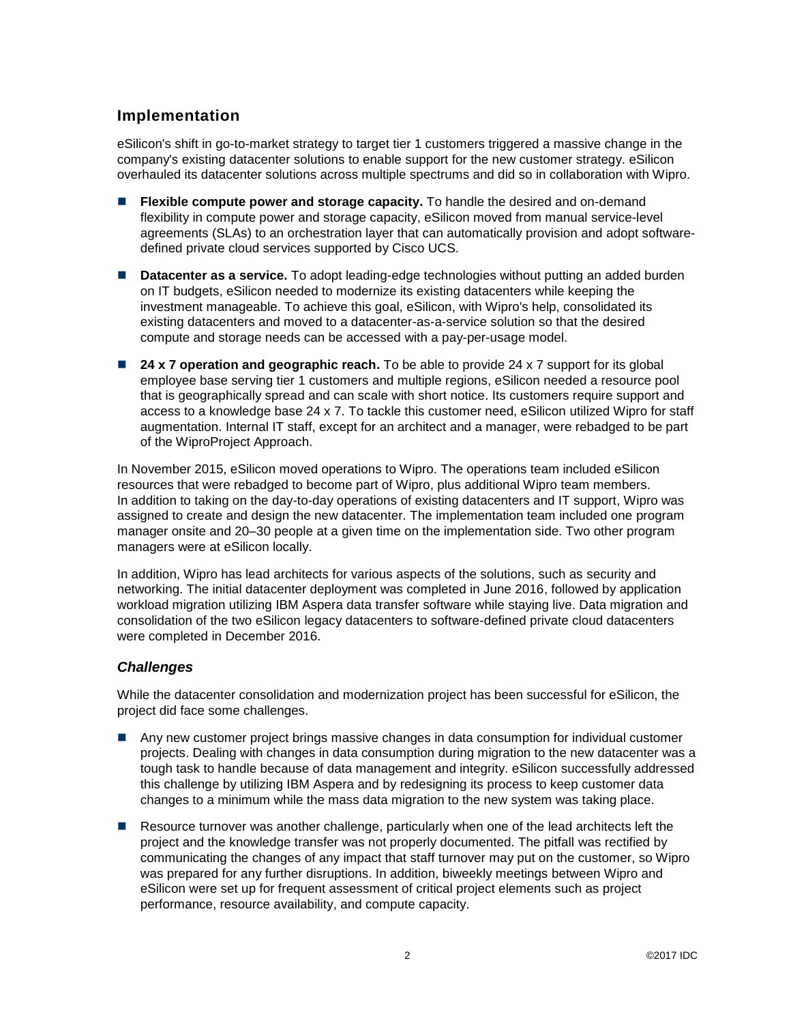# **Implementation**

eSilicon's shift in go-to-market strategy to target tier 1 customers triggered a massive change in the company's existing datacenter solutions to enable support for the new customer strategy. eSilicon overhauled its datacenter solutions across multiple spectrums and did so in collaboration with Wipro.

- **Flexible compute power and storage capacity.** To handle the desired and on-demand flexibility in compute power and storage capacity, eSilicon moved from manual service-level agreements (SLAs) to an orchestration layer that can automatically provision and adopt softwaredefined private cloud services supported by Cisco UCS.
- **Datacenter as a service.** To adopt leading-edge technologies without putting an added burden on IT budgets, eSilicon needed to modernize its existing datacenters while keeping the investment manageable. To achieve this goal, eSilicon, with Wipro's help, consolidated its existing datacenters and moved to a datacenter-as-a-service solution so that the desired compute and storage needs can be accessed with a pay-per-usage model.
- **24 x 7 operation and geographic reach.** To be able to provide 24 x 7 support for its global employee base serving tier 1 customers and multiple regions, eSilicon needed a resource pool that is geographically spread and can scale with short notice. Its customers require support and access to a knowledge base 24 x 7. To tackle this customer need, eSilicon utilized Wipro for staff augmentation. Internal IT staff, except for an architect and a manager, were rebadged to be part of the WiproProject Approach.

In November 2015, eSilicon moved operations to Wipro. The operations team included eSilicon resources that were rebadged to become part of Wipro, plus additional Wipro team members. In addition to taking on the day-to-day operations of existing datacenters and IT support, Wipro was assigned to create and design the new datacenter. The implementation team included one program manager onsite and 20–30 people at a given time on the implementation side. Two other program managers were at eSilicon locally.

In addition, Wipro has lead architects for various aspects of the solutions, such as security and networking. The initial datacenter deployment was completed in June 2016, followed by application workload migration utilizing IBM Aspera data transfer software while staying live. Data migration and consolidation of the two eSilicon legacy datacenters to software-defined private cloud datacenters were completed in December 2016.

### *Challenges*

While the datacenter consolidation and modernization project has been successful for eSilicon, the project did face some challenges.

- Any new customer project brings massive changes in data consumption for individual customer projects. Dealing with changes in data consumption during migration to the new datacenter was a tough task to handle because of data management and integrity. eSilicon successfully addressed this challenge by utilizing IBM Aspera and by redesigning its process to keep customer data changes to a minimum while the mass data migration to the new system was taking place.
- Resource turnover was another challenge, particularly when one of the lead architects left the project and the knowledge transfer was not properly documented. The pitfall was rectified by communicating the changes of any impact that staff turnover may put on the customer, so Wipro was prepared for any further disruptions. In addition, biweekly meetings between Wipro and eSilicon were set up for frequent assessment of critical project elements such as project performance, resource availability, and compute capacity.